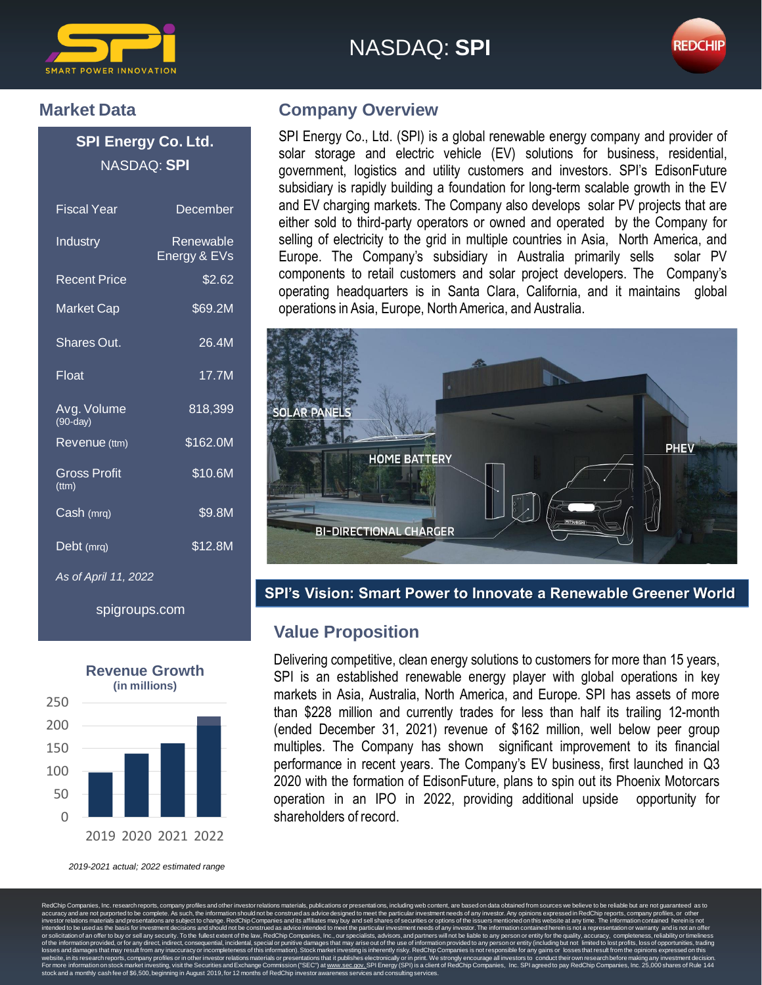

# NASDAQ: **SPI**



#### **Market Data**

**SPI Energy Co. Ltd.** NASDAQ: **SPI**

| <b>Fiscal Year</b>           | December                  |
|------------------------------|---------------------------|
| Industry                     | Renewable<br>Energy & EVs |
| Recent Price                 | \$2.62                    |
| <b>Market Cap</b>            | \$69.2M                   |
| <b>Shares Out.</b>           | 26.4M                     |
| Float                        | 17.7M                     |
| Avg. Volume<br>$(90-dav)$    | 818,399                   |
| Revenue (ttm)                | \$162.0M                  |
| Gross Profit<br>$(t$ ttm $)$ | \$10.6M                   |
| Cash (mrq)                   | \$9.8M                    |
| Debt (mrq)                   | \$12.8M                   |
| As of April 11, 2022         |                           |

spigroups.com



*2019-2021 actual; 2022 estimated range*

#### **Company Overview**

SPI Energy Co., Ltd. (SPI) is a global renewable energy company and provider of solar storage and electric vehicle (EV) solutions for business, residential, government, logistics and utility customers and investors. SPI's EdisonFuture subsidiary is rapidly building a foundation for long-term scalable growth in the EV and EV charging markets. The Company also develops solar PV projects that are either sold to third-party operators or owned and operated by the Company for selling of electricity to the grid in multiple countries in Asia, North America, and Europe. The Company's subsidiary in Australia primarily sells solar PV components to retail customers and solar project developers. The Company's operating headquarters is in Santa Clara, California, and it maintains global operations in Asia, Europe, North America, and Australia.



**SPI's Vision: Smart Power to Innovate a Renewable Greener World**

### **Value Proposition**

Delivering competitive, clean energy solutions to customers for more than 15 years, SPI is an established renewable energy player with global operations in key markets in Asia, Australia, North America, and Europe. SPI has assets of more than \$228 million and currently trades for less than half its trailing 12-month (ended December 31, 2021) revenue of \$162 million, well below peer group multiples. The Company has shown significant improvement to its financial performance in recent years. The Company's EV business, first launched in Q3 2020 with the formation of EdisonFuture, plans to spin out its Phoenix Motorcars operation in an IPO in 2022, providing additional upside opportunity for shareholders of record.

RedChip Companies, Inc. research reports, company profiles and other investor relations materials, publications or presentations, including web content, are based on data obtained from sources we believe to be reliable but cy and are not purported to be complete. As such, the information should not be construed as advice designed to meet the particular investment needs of any investor. Any opinions expressed in RedChip reports, company<br>or re and sell shares of securities or options of the issuers mentio<br>as particular investment peeds of any investor. The informati to be used as the basis for investment dea of an offer to buy or sell an<br>tion provided, or for any dir of the information provided, or for any direct, indirect, consequential, incidental, special or punitive damages that may arise out of the use of information provided to any person or entity (including but not limited to l losses and damages that may result from any inaccuracy or incompleteness of this information). Stock market investing is inherently risky. RedChip Companies is not responsible for any gains or losses that result from the o website, in its research reports, company profiles or in other investor relations materials or presentations that it publishes electronically or in print. We strongly encourage all investors to conduct their own research b s mormation on stock manter investing, visit the occurrities and exertange of<br>id a monthly cash fee of \$6,500, beginning in August 2019, for 12 months of